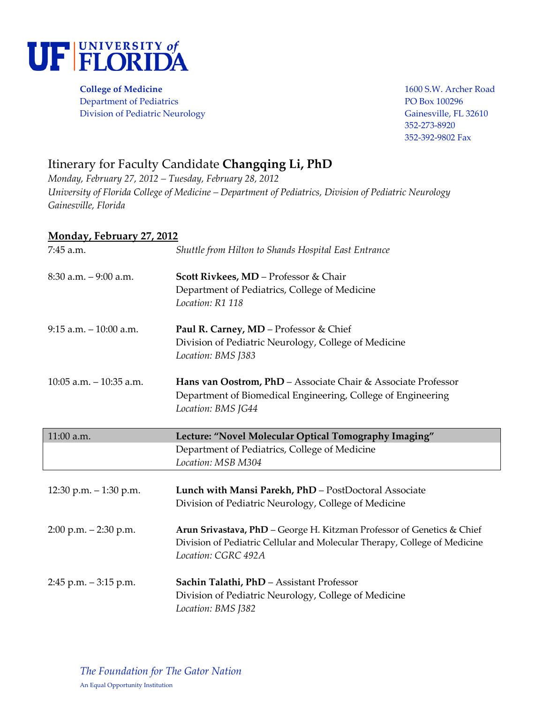

**College of Medicine** 1600 S.W. Archer Road Department of Pediatrics PO Box 100296 Division of Pediatric Neurology **Gainesville, FL 32610** 

352-273-8920 352-392-9802 Fax

## Itinerary for Faculty Candidate **Changqing Li, PhD**

*Monday, February 27, 2012 – Tuesday, February 28, 2012 University of Florida College of Medicine – Department of Pediatrics, Division of Pediatric Neurology Gainesville, Florida*

## **Monday, February 27, 2012**

| 7:45 a.m.                  | Shuttle from Hilton to Shands Hospital East Entrance                                   |
|----------------------------|----------------------------------------------------------------------------------------|
| $8:30$ a.m. $-9:00$ a.m.   | Scott Rivkees, MD - Professor & Chair<br>Department of Pediatrics, College of Medicine |
|                            | Location: R1 118                                                                       |
| $9:15$ a.m. $-10:00$ a.m.  | Paul R. Carney, MD - Professor & Chief                                                 |
|                            | Division of Pediatric Neurology, College of Medicine<br>Location: BMS J383             |
| $10:05$ a.m. $-10:35$ a.m. | Hans van Oostrom, PhD - Associate Chair & Associate Professor                          |
|                            | Department of Biomedical Engineering, College of Engineering<br>Location: BMS JG44     |
|                            |                                                                                        |
| 11:00 a.m.                 | Lecture: "Novel Molecular Optical Tomography Imaging"                                  |
|                            | Department of Pediatrics, College of Medicine                                          |
|                            | Location: MSB M304                                                                     |
| 12:30 p.m. $-1:30$ p.m.    | Lunch with Mansi Parekh, PhD - PostDoctoral Associate                                  |
|                            | Division of Pediatric Neurology, College of Medicine                                   |
| $2:00$ p.m. $-2:30$ p.m.   | Arun Srivastava, PhD - George H. Kitzman Professor of Genetics & Chief                 |
|                            | Division of Pediatric Cellular and Molecular Therapy, College of Medicine              |
|                            | Location: CGRC 492A                                                                    |
| $2:45$ p.m. $-3:15$ p.m.   | Sachin Talathi, PhD - Assistant Professor                                              |
|                            | Division of Pediatric Neurology, College of Medicine<br>Location: BMS J382             |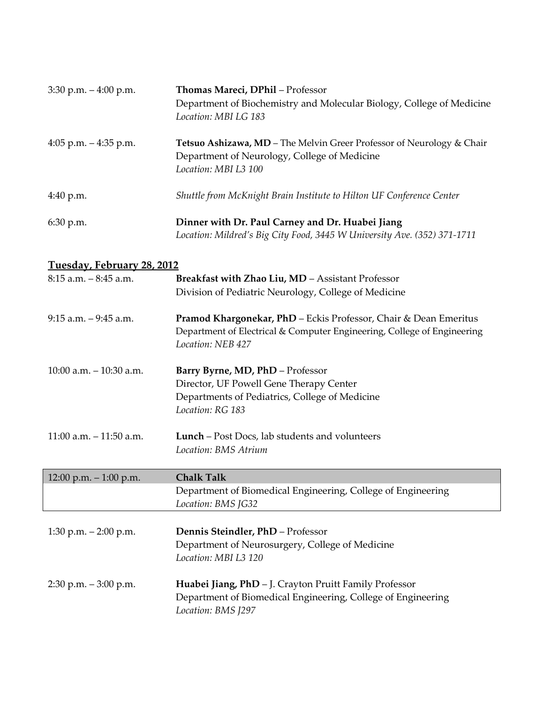| $3:30$ p.m. $-4:00$ p.m.   | Thomas Mareci, DPhil - Professor<br>Department of Biochemistry and Molecular Biology, College of Medicine<br>Location: MBI LG 183                                |
|----------------------------|------------------------------------------------------------------------------------------------------------------------------------------------------------------|
| 4:05 p.m. $-4:35$ p.m.     | Tetsuo Ashizawa, MD - The Melvin Greer Professor of Neurology & Chair<br>Department of Neurology, College of Medicine<br>Location: MBI L3 100                    |
| 4:40 p.m.                  | Shuttle from McKnight Brain Institute to Hilton UF Conference Center                                                                                             |
| 6:30 p.m.                  | Dinner with Dr. Paul Carney and Dr. Huabei Jiang<br>Location: Mildred's Big City Food, 3445 W University Ave. (352) 371-1711                                     |
| Tuesday, February 28, 2012 |                                                                                                                                                                  |
| 8:15 a.m. - 8:45 a.m.      | Breakfast with Zhao Liu, MD - Assistant Professor<br>Division of Pediatric Neurology, College of Medicine                                                        |
| $9:15$ a.m. $-9:45$ a.m.   | Pramod Khargonekar, PhD - Eckis Professor, Chair & Dean Emeritus<br>Department of Electrical & Computer Engineering, College of Engineering<br>Location: NEB 427 |
| 10:00 a.m. $-10:30$ a.m.   | Barry Byrne, MD, PhD - Professor<br>Director, UF Powell Gene Therapy Center<br>Departments of Pediatrics, College of Medicine<br>Location: RG 183                |
| $11:00$ a.m. $-11:50$ a.m. | Lunch - Post Docs, lab students and volunteers<br>Location: BMS Atrium                                                                                           |
| $12:00$ p.m. $-1:00$ p.m.  | <b>Chalk Talk</b>                                                                                                                                                |
|                            | Department of Biomedical Engineering, College of Engineering<br>Location: BMS JG32                                                                               |
| 1:30 p.m. $-2:00$ p.m.     | Dennis Steindler, PhD - Professor<br>Department of Neurosurgery, College of Medicine<br>Location: MBI L3 120                                                     |
| $2:30$ p.m. $-3:00$ p.m.   | Huabei Jiang, PhD - J. Crayton Pruitt Family Professor<br>Department of Biomedical Engineering, College of Engineering<br>Location: BMS J297                     |